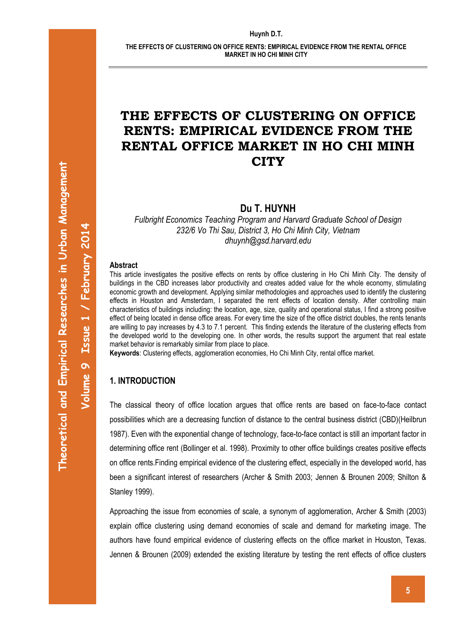# **THE EFFECTS OF CLUSTERING ON OFFICE RENTS: EMPIRICAL EVIDENCE FROM THE RENTAL OFFICE MARKET IN HO CHI MINH CITY**

**Du T. HUYNH**

*Fulbright Economics Teaching Program and Harvard Graduate School of Design 232/6 Vo Thi Sau, District 3, Ho Chi Minh City, Vietnam dhuynh@gsd.harvard.edu*

#### **Abstract**

This article investigates the positive effects on rents by office clustering in Ho Chi Minh City. The density of buildings in the CBD increases labor productivity and creates added value for the whole economy, stimulating economic growth and development. Applying similar methodologies and approaches used to identify the clustering effects in Houston and Amsterdam, I separated the rent effects of location density. After controlling main characteristics of buildings including: the location, age, size, quality and operational status, I find a strong positive effect of being located in dense office areas. For every time the size of the office district doubles, the rents tenants are willing to pay increases by 4.3 to 7.1 percent. This finding extends the literature of the clustering effects from the developed world to the developing one. In other words, the results support the argument that real estate market behavior is remarkably similar from place to place.

**Keywords**: Clustering effects, agglomeration economies, Ho Chi Minh City, rental office market.

### **1. INTRODUCTION**

The classical theory of office location argues that office rents are based on face-to-face contact possibilities which are a decreasing function of distance to the central business district (CBD)(Heilbrun 1987). Even with the exponential change of technology, face-to-face contact is still an important factor in determining office rent (Bollinger et al. 1998). Proximity to other office buildings creates positive effects on office rents.Finding empirical evidence of the clustering effect, especially in the developed world, has been a significant interest of researchers (Archer & Smith 2003; Jennen & Brounen 2009; Shilton & Stanley 1999).

Approaching the issue from economies of scale, a synonym of agglomeration, Archer & Smith (2003) explain office clustering using demand economies of scale and demand for marketing image. The authors have found empirical evidence of clustering effects on the office market in Houston, Texas. Jennen & Brounen (2009) extended the existing literature by testing the rent effects of office clusters

**Volume** 

**9**

**Issue 1**

**/ February 201**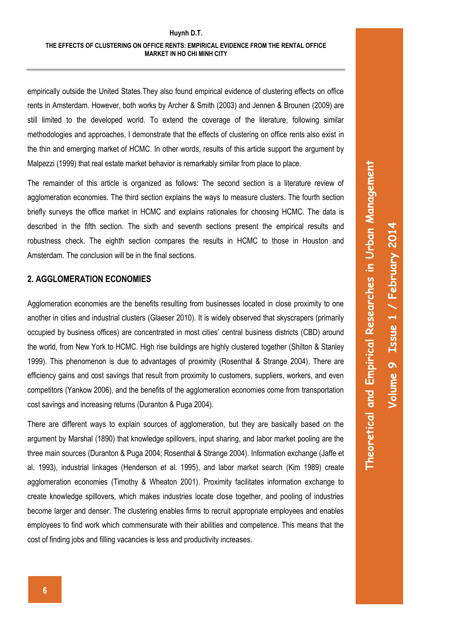empirically outside the United States.They also found empirical evidence of clustering effects on office rents in Amsterdam. However, both works by Archer & Smith (2003) and Jennen & Brounen (2009) are still limited to the developed world. To extend the coverage of the literature, following similar methodologies and approaches, I demonstrate that the effects of clustering on office rents also exist in the thin and emerging market of HCMC. In other words, results of this article support the argument by Malpezzi (1999) that real estate market behavior is remarkably similar from place to place.

The remainder of this article is organized as follows: The second section is a literature review of agglomeration economies. The third section explains the ways to measure clusters. The fourth section briefly surveys the office market in HCMC and explains rationales for choosing HCMC. The data is described in the fifth section. The sixth and seventh sections present the empirical results and robustness check. The eighth section compares the results in HCMC to those in Houston and Amsterdam. The conclusion will be in the final sections.

### **2. AGGLOMERATION ECONOMIES**

Agglomeration economies are the benefits resulting from businesses located in close proximity to one another in cities and industrial clusters (Glaeser 2010). It is widely observed that skyscrapers (primarily occupied by business offices) are concentrated in most cities' central business districts (CBD) around the world, from New York to HCMC. High rise buildings are highly clustered together (Shilton & Stanley 1999). This phenomenon is due to advantages of proximity (Rosenthal & Strange 2004). There are efficiency gains and cost savings that result from proximity to customers, suppliers, workers, and even competitors (Yankow 2006), and the benefits of the agglomeration economies come from transportation cost savings and increasing returns (Duranton & Puga 2004).

There are different ways to explain sources of agglomeration, but they are basically based on the argument by Marshal (1890) that knowledge spillovers, input sharing, and labor market pooling are the three main sources (Duranton & Puga 2004; Rosenthal & Strange 2004). Information exchange (Jaffe et al. 1993), industrial linkages (Henderson et al. 1995), and labor market search (Kim 1989) create agglomeration economies (Timothy & Wheaton 2001). Proximity facilitates information exchange to create knowledge spillovers, which makes industries locate close together, and pooling of industries become larger and denser. The clustering enables firms to recruit appropriate employees and enables employees to find work which commensurate with their abilities and competence. This means that the cost of finding jobs and filling vacancies is less and productivity increases.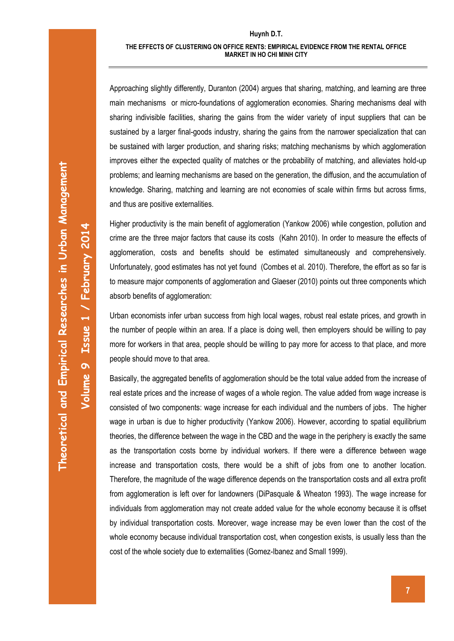Approaching slightly differently, Duranton (2004) argues that sharing, matching, and learning are three main mechanisms or micro-foundations of agglomeration economies. Sharing mechanisms deal with sharing indivisible facilities, sharing the gains from the wider variety of input suppliers that can be sustained by a larger final-goods industry, sharing the gains from the narrower specialization that can be sustained with larger production, and sharing risks; matching mechanisms by which agglomeration improves either the expected quality of matches or the probability of matching, and alleviates hold-up problems; and learning mechanisms are based on the generation, the diffusion, and the accumulation of knowledge. Sharing, matching and learning are not economies of scale within firms but across firms, and thus are positive externalities.

Higher productivity is the main benefit of agglomeration (Yankow 2006) while congestion, pollution and crime are the three major factors that cause its costs (Kahn 2010). In order to measure the effects of agglomeration, costs and benefits should be estimated simultaneously and comprehensively. Unfortunately, good estimates has not yet found (Combes et al. 2010). Therefore, the effort as so far is to measure major components of agglomeration and Glaeser (2010) points out three components which absorb benefits of agglomeration:

Urban economists infer urban success from high local wages, robust real estate prices, and growth in the number of people within an area. If a place is doing well, then employers should be willing to pay more for workers in that area, people should be willing to pay more for access to that place, and more people should move to that area.

Basically, the aggregated benefits of agglomeration should be the total value added from the increase of real estate prices and the increase of wages of a whole region. The value added from wage increase is consisted of two components: wage increase for each individual and the numbers of jobs. The higher wage in urban is due to higher productivity (Yankow 2006). However, according to spatial equilibrium theories, the difference between the wage in the CBD and the wage in the periphery is exactly the same as the transportation costs borne by individual workers. If there were a difference between wage increase and transportation costs, there would be a shift of jobs from one to another location. Therefore, the magnitude of the wage difference depends on the transportation costs and all extra profit from agglomeration is left over for landowners (DiPasquale & Wheaton 1993). The wage increase for individuals from agglomeration may not create added value for the whole economy because it is offset by individual transportation costs. Moreover, wage increase may be even lower than the cost of the whole economy because individual transportation cost, when congestion exists, is usually less than the cost of the whole society due to externalities (Gomez-Ibanez and Small 1999).

**Volume** 

**9 Issue 1**

**/ February 201**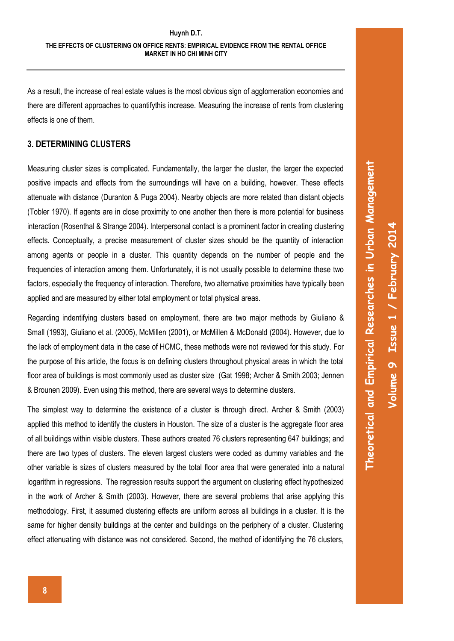As a result, the increase of real estate values is the most obvious sign of agglomeration economies and there are different approaches to quantifythis increase. Measuring the increase of rents from clustering effects is one of them.

### **3. DETERMINING CLUSTERS**

Measuring cluster sizes is complicated. Fundamentally, the larger the cluster, the larger the expected positive impacts and effects from the surroundings will have on a building, however. These effects attenuate with distance (Duranton & Puga 2004). Nearby objects are more related than distant objects (Tobler 1970). If agents are in close proximity to one another then there is more potential for business interaction (Rosenthal & Strange 2004). Interpersonal contact is a prominent factor in creating clustering effects. Conceptually, a precise measurement of cluster sizes should be the quantity of interaction among agents or people in a cluster. This quantity depends on the number of people and the frequencies of interaction among them. Unfortunately, it is not usually possible to determine these two factors, especially the frequency of interaction. Therefore, two alternative proximities have typically been applied and are measured by either total employment or total physical areas.

Regarding indentifying clusters based on employment, there are two major methods by Giuliano & Small (1993), Giuliano et al. (2005), McMillen (2001), or McMillen & McDonald (2004). However, due to the lack of employment data in the case of HCMC, these methods were not reviewed for this study. For the purpose of this article, the focus is on defining clusters throughout physical areas in which the total floor area of buildings is most commonly used as cluster size (Gat 1998; Archer & Smith 2003; Jennen & Brounen 2009). Even using this method, there are several ways to determine clusters.

The simplest way to determine the existence of a cluster is through direct. Archer & Smith (2003) applied this method to identify the clusters in Houston. The size of a cluster is the aggregate floor area of all buildings within visible clusters. These authors created 76 clusters representing 647 buildings; and there are two types of clusters. The eleven largest clusters were coded as dummy variables and the other variable is sizes of clusters measured by the total floor area that were generated into a natural logarithm in regressions. The regression results support the argument on clustering effect hypothesized in the work of Archer & Smith (2003). However, there are several problems that arise applying this methodology. First, it assumed clustering effects are uniform across all buildings in a cluster. It is the same for higher density buildings at the center and buildings on the periphery of a cluster. Clustering effect attenuating with distance was not considered. Second, the method of identifying the 76 clusters,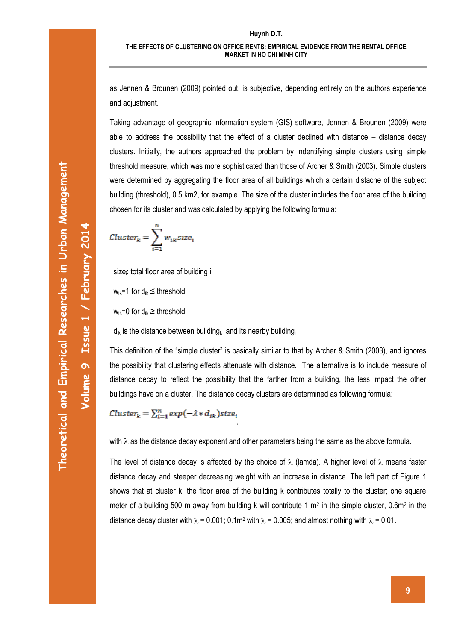**Volume** 

**9 Issue 1**

**/ February 201**

**4**

as Jennen & Brounen (2009) pointed out, is subjective, depending entirely on the authors experience and adjustment.

Taking advantage of geographic information system (GIS) software, Jennen & Brounen (2009) were able to address the possibility that the effect of a cluster declined with distance – distance decay clusters. Initially, the authors approached the problem by indentifying simple clusters using simple threshold measure, which was more sophisticated than those of Archer & Smith (2003). Simple clusters were determined by aggregating the floor area of all buildings which a certain distacne of the subject building (threshold), 0.5 km2, for example. The size of the cluster includes the floor area of the building chosen for its cluster and was calculated by applying the following formula:

$$
Cluster_k = \sum_{i=1}^{n} w_{ik} size_i
$$

size<sub>i</sub>: total floor area of building i

 $w_{ik}=1$  for  $d_{ik} \leq$  threshold

 $w_{ik}=0$  for  $d_{ik} \geq$  threshold

 $d_{ik}$  is the distance between building<sub>k</sub> and its nearby building

This definition of the "simple cluster" is basically similar to that by Archer & Smith (2003), and ignores the possibility that clustering effects attenuate with distance. The alternative is to include measure of distance decay to reflect the possibility that the farther from a building, the less impact the other buildings have on a cluster. The distance decay clusters are determined as following formula:

Cluster<sub>k</sub> =  $\sum_{i=1}^{n} exp(-\lambda * d_{ik})$ size<sub>i</sub>

with  $\lambda$  as the distance decay exponent and other parameters being the same as the above formula.

The level of distance decay is affected by the choice of  $\lambda$  (lamda). A higher level of  $\lambda$  means faster distance decay and steeper decreasing weight with an increase in distance. The left part of Figure 1 shows that at cluster k, the floor area of the building k contributes totally to the cluster; one square meter of a building 500 m away from building k will contribute 1  $m<sup>2</sup>$  in the simple cluster, 0.6 $m<sup>2</sup>$  in the distance decay cluster with  $\lambda = 0.001$ ; 0.1m<sup>2</sup> with  $\lambda = 0.005$ ; and almost nothing with  $\lambda = 0.01$ .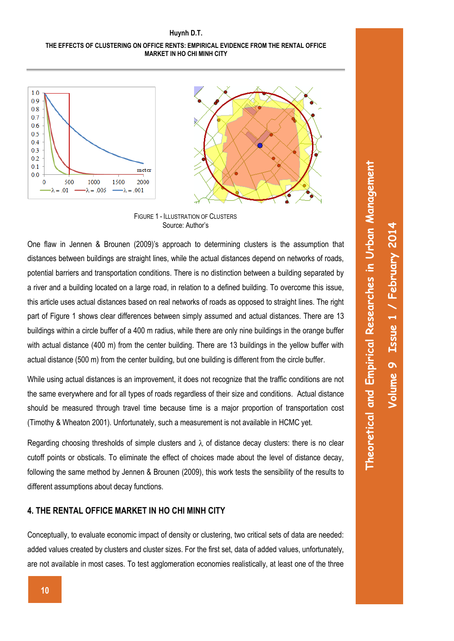#### **THE EFFECTS OF CLUSTERING ON OFFICE RENTS: EMPIRICAL EVIDENCE FROM THE RENTAL OFFICE MARKET IN HO CHI MINH CITY**





FIGURE 1 - ILLUSTRATION OF CLUSTERS Source: Author's

One flaw in Jennen & Brounen (2009)'s approach to determining clusters is the assumption that distances between buildings are straight lines, while the actual distances depend on networks of roads, potential barriers and transportation conditions. There is no distinction between a building separated by a river and a building located on a large road, in relation to a defined building. To overcome this issue, this article uses actual distances based on real networks of roads as opposed to straight lines. The right part of Figure 1 shows clear differences between simply assumed and actual distances. There are 13 buildings within a circle buffer of a 400 m radius, while there are only nine buildings in the orange buffer with actual distance (400 m) from the center building. There are 13 buildings in the yellow buffer with actual distance (500 m) from the center building, but one building is different from the circle buffer.

While using actual distances is an improvement, it does not recognize that the traffic conditions are not the same everywhere and for all types of roads regardless of their size and conditions. Actual distance should be measured through travel time because time is a major proportion of transportation cost (Timothy & Wheaton 2001). Unfortunately, such a measurement is not available in HCMC yet.

Regarding choosing thresholds of simple clusters and  $\lambda$  of distance decay clusters: there is no clear cutoff points or obsticals. To eliminate the effect of choices made about the level of distance decay, following the same method by Jennen & Brounen (2009), this work tests the sensibility of the results to different assumptions about decay functions.

### **4. THE RENTAL OFFICE MARKET IN HO CHI MINH CITY**

Conceptually, to evaluate economic impact of density or clustering, two critical sets of data are needed: added values created by clusters and cluster sizes. For the first set, data of added values, unfortunately, are not available in most cases. To test agglomeration economies realistically, at least one of the three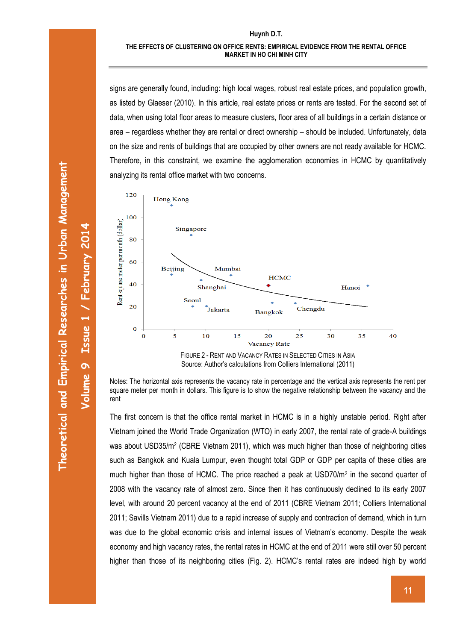signs are generally found, including: high local wages, robust real estate prices, and population growth, as listed by Glaeser (2010). In this article, real estate prices or rents are tested. For the second set of data, when using total floor areas to measure clusters, floor area of all buildings in a certain distance or area – regardless whether they are rental or direct ownership – should be included. Unfortunately, data on the size and rents of buildings that are occupied by other owners are not ready available for HCMC. Therefore, in this constraint, we examine the agglomeration economies in HCMC by quantitatively analyzing its rental office market with two concerns.



Source: Author's calculations from Colliers International (2011)

Notes: The horizontal axis represents the vacancy rate in percentage and the vertical axis represents the rent per square meter per month in dollars. This figure is to show the negative relationship between the vacancy and the rent

The first concern is that the office rental market in HCMC is in a highly unstable period. Right after Vietnam joined the World Trade Organization (WTO) in early 2007, the rental rate of grade-A buildings was about USD35/m<sup>2</sup> (CBRE Vietnam 2011), which was much higher than those of neighboring cities such as Bangkok and Kuala Lumpur, even thought total GDP or GDP per capita of these cities are much higher than those of HCMC. The price reached a peak at USD70/m<sup>2</sup> in the second quarter of 2008 with the vacancy rate of almost zero. Since then it has continuously declined to its early 2007 level, with around 20 percent vacancy at the end of 2011 (CBRE Vietnam 2011; Colliers International 2011; Savills Vietnam 2011) due to a rapid increase of supply and contraction of demand, which in turn was due to the global economic crisis and internal issues of Vietnam's economy. Despite the weak economy and high vacancy rates, the rental rates in HCMC at the end of 2011 were still over 50 percent higher than those of its neighboring cities (Fig. 2). HCMC's rental rates are indeed high by world

**Volume** 

**9**

**Issue 1**

**/ February 201**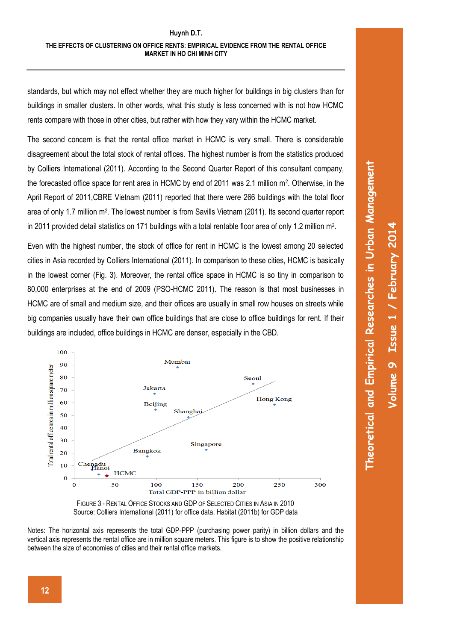standards, but which may not effect whether they are much higher for buildings in big clusters than for buildings in smaller clusters. In other words, what this study is less concerned with is not how HCMC rents compare with those in other cities, but rather with how they vary within the HCMC market.

The second concern is that the rental office market in HCMC is very small. There is considerable disagreement about the total stock of rental offices. The highest number is from the statistics produced by Colliers International (2011). According to the Second Quarter Report of this consultant company, the forecasted office space for rent area in HCMC by end of 2011 was 2.1 million m<sup>2</sup>. Otherwise, in the April Report of 2011,CBRE Vietnam (2011) reported that there were 266 buildings with the total floor area of only 1.7 million m<sup>2</sup>. The lowest number is from Savills Vietnam (2011). Its second quarter report in 2011 provided detail statistics on 171 buildings with a total rentable floor area of only 1.2 million m<sup>2</sup>.

Even with the highest number, the stock of office for rent in HCMC is the lowest among 20 selected cities in Asia recorded by Colliers International (2011). In comparison to these cities, HCMC is basically in the lowest corner (Fig. 3). Moreover, the rental office space in HCMC is so tiny in comparison to 80,000 enterprises at the end of 2009 (PSO-HCMC 2011). The reason is that most businesses in HCMC are of small and medium size, and their offices are usually in small row houses on streets while big companies usually have their own office buildings that are close to office buildings for rent. If their buildings are included, office buildings in HCMC are denser, especially in the CBD.



FIGURE 3 - RENTAL OFFICE STOCKS AND GDP OF SELECTED CITIES IN ASIA IN 2010 Source: Colliers International (2011) for office data, Habitat (2011b) for GDP data

Notes: The horizontal axis represents the total GDP-PPP (purchasing power parity) in billion dollars and the vertical axis represents the rental office are in million square meters. This figure is to show the positive relationship between the size of economies of cities and their rental office markets.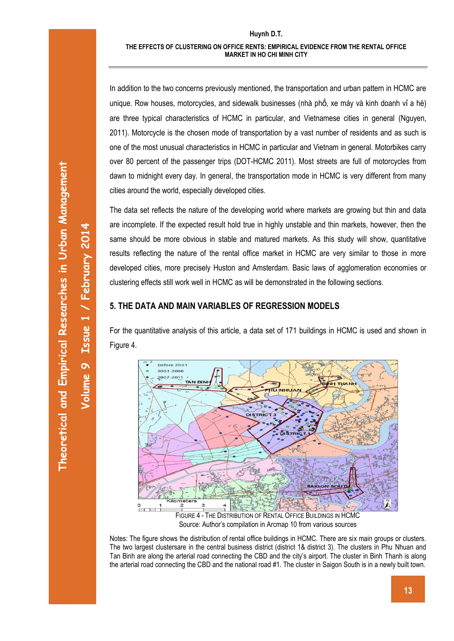Theoretical and Empirical Researches in Urban Management **Theoretical and Empirical Researches in Urban Management**

**Volume** 

**9**

**Issue 1**

**/ February 201**

**4**

In addition to the two concerns previously mentioned, the transportation and urban pattern in HCMC are unique. Row houses, motorcycles, and sidewalk businesses (nhà phố, xe máy và kinh doanh vỉ a hè) are three typical characteristics of HCMC in particular, and Vietnamese cities in general (Nguyen, 2011). Motorcycle is the chosen mode of transportation by a vast number of residents and as such is one of the most unusual characteristics in HCMC in particular and Vietnam in general. Motorbikes carry over 80 percent of the passenger trips (DOT-HCMC 2011). Most streets are full of motorcycles from dawn to midnight every day. In general, the transportation mode in HCMC is very different from many cities around the world, especially developed cities.

The data set reflects the nature of the developing world where markets are growing but thin and data are incomplete. If the expected result hold true in highly unstable and thin markets, however, then the same should be more obvious in stable and matured markets. As this study will show, quantitative results reflecting the nature of the rental office market in HCMC are very similar to those in more developed cities, more precisely Huston and Amsterdam. Basic laws of agglomeration economies or clustering effects still work well in HCMC as will be demonstrated in the following sections.

# **5. THE DATA AND MAIN VARIABLES OF REGRESSION MODELS**

For the quantitative analysis of this article, a data set of 171 buildings in HCMC is used and shown in Figure 4.



Notes: The figure shows the distribution of rental office buildings in HCMC. There are six main groups or clusters. The two largest clustersare in the central business district (district 1& district 3). The clusters in Phu Nhuan and Tan Binh are along the arterial road connecting the CBD and the city's airport. The cluster in Binh Thanh is along the arterial road connecting the CBD and the national road #1. The cluster in Saigon South is in a newly built town.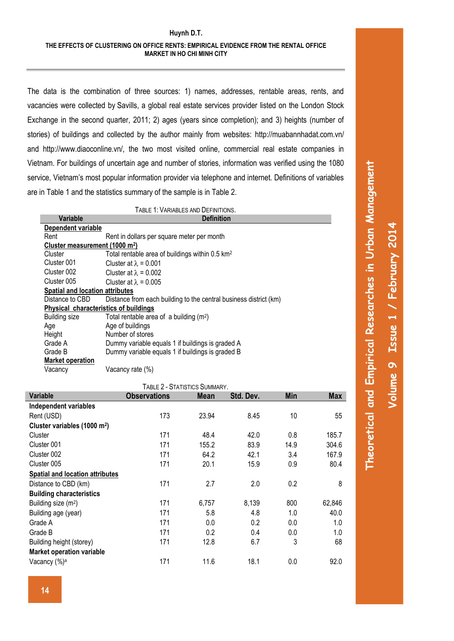The data is the combination of three sources: 1) names, addresses, rentable areas, rents, and vacancies were collected by Savills, a global real estate services provider listed on the London Stock Exchange in the second quarter, 2011; 2) ages (years since completion); and 3) heights (number of stories) of buildings and collected by the author mainly from websites:<http://muabannhadat.com.vn/> and [http://www.diaoconline.vn/,](http://www.diaoconline.vn/) the two most visited online, commercial real estate companies in Vietnam. For buildings of uncertain age and number of stories, information was verified using the 1080 service, Vietnam's most popular information provider via telephone and internet. Definitions of variables are in Table 1 and the statistics summary of the sample is in Table 2.

> TABLE 1: VARIABLES AND DEFINITIONS **Variable Definition**

|                                       | vanavic                                    | ושוווווש                                                          |
|---------------------------------------|--------------------------------------------|-------------------------------------------------------------------|
|                                       | Dependent variable                         |                                                                   |
|                                       | Rent                                       | Rent in dollars per square meter per month                        |
|                                       | Cluster measurement (1000 m <sup>2</sup> ) |                                                                   |
|                                       | Cluster                                    | Total rentable area of buildings within 0.5 km <sup>2</sup>       |
|                                       | Cluster 001                                | Cluster at $\lambda = 0.001$                                      |
|                                       | Cluster 002                                | Cluster at $\lambda = 0.002$                                      |
|                                       | Cluster 005                                | Cluster at $\lambda = 0.005$                                      |
|                                       | Spatial and location attributes            |                                                                   |
|                                       | Distance to CBD                            | Distance from each building to the central business district (km) |
| Physical characteristics of buildings |                                            |                                                                   |
|                                       | <b>Building size</b>                       | Total rentable area of a building $(m^2)$                         |
|                                       | Age                                        | Age of buildings                                                  |
|                                       | Height                                     | Number of stores                                                  |
|                                       | Grade A                                    | Dummy variable equals 1 if buildings is graded A                  |
|                                       | Grade B                                    | Dummy variable equals 1 if buildings is graded B                  |
|                                       | <b>Market operation</b>                    |                                                                   |
|                                       | Vacancy                                    | Vacancy rate (%)                                                  |

| TABLE 2 - STATISTICS SUMMARY.            |                     |             |           |            |            |  |  |  |  |
|------------------------------------------|---------------------|-------------|-----------|------------|------------|--|--|--|--|
| <b>Variable</b>                          | <b>Observations</b> | <b>Mean</b> | Std. Dev. | <b>Min</b> | <b>Max</b> |  |  |  |  |
| Independent variables                    |                     |             |           |            |            |  |  |  |  |
| Rent (USD)                               | 173                 | 23.94       | 8.45      | 10         | 55         |  |  |  |  |
| Cluster variables (1000 m <sup>2</sup> ) |                     |             |           |            |            |  |  |  |  |
| Cluster                                  | 171                 | 48.4        | 42.0      | 0.8        | 185.7      |  |  |  |  |
| Cluster 001                              | 171                 | 155.2       | 83.9      | 14.9       | 304.6      |  |  |  |  |
| Cluster 002                              | 171                 | 64.2        | 42.1      | 3.4        | 167.9      |  |  |  |  |
| Cluster 005                              | 171                 | 20.1        | 15.9      | 0.9        | 80.4       |  |  |  |  |
| <b>Spatial and location attributes</b>   |                     |             |           |            |            |  |  |  |  |
| Distance to CBD (km)                     | 171                 | 2.7         | 2.0       | 0.2        | 8          |  |  |  |  |
| <b>Building characteristics</b>          |                     |             |           |            |            |  |  |  |  |
| Building size (m <sup>2</sup> )          | 171                 | 6,757       | 8,139     | 800        | 62,846     |  |  |  |  |
| Building age (year)                      | 171                 | 5.8         | 4.8       | 1.0        | 40.0       |  |  |  |  |
| Grade A                                  | 171                 | 0.0         | 0.2       | 0.0        | 1.0        |  |  |  |  |
| Grade B                                  | 171                 | 0.2         | 0.4       | 0.0        | 1.0        |  |  |  |  |
| Building height (storey)                 | 171                 | 12.8        | 6.7       | 3          | 68         |  |  |  |  |
| <b>Market operation variable</b>         |                     |             |           |            |            |  |  |  |  |
| Vacancy (%) <sup>a</sup>                 | 171                 | 11.6        | 18.1      | 0.0        | 92.0       |  |  |  |  |

**Theoretical and Empirical Researches in Urban Management**

Theoretical and Empirical Researches in Urban Management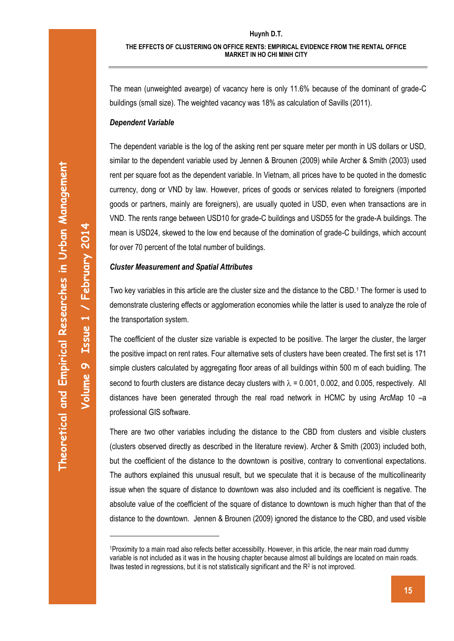The mean (unweighted avearge) of vacancy here is only 11.6% because of the dominant of grade-C buildings (small size). The weighted vacancy was 18% as calculation of Savills (2011).

### *Dependent Variable*

The dependent variable is the log of the asking rent per square meter per month in US dollars or USD, similar to the dependent variable used by Jennen & Brounen (2009) while Archer & Smith (2003) used rent per square foot as the dependent variable. In Vietnam, all prices have to be quoted in the domestic currency, dong or VND by law. However, prices of goods or services related to foreigners (imported goods or partners, mainly are foreigners), are usually quoted in USD, even when transactions are in VND. The rents range between USD10 for grade-C buildings and USD55 for the grade-A buildings. The mean is USD24, skewed to the low end because of the domination of grade-C buildings, which account for over 70 percent of the total number of buildings.

### *Cluster Measurement and Spatial Attributes*

Two key variables in this article are the cluster size and the distance to the CBD.<sup>1</sup> The former is used to demonstrate clustering effects or agglomeration economies while the latter is used to analyze the role of the transportation system.

The coefficient of the cluster size variable is expected to be positive. The larger the cluster, the larger the positive impact on rent rates. Four alternative sets of clusters have been created. The first set is 171 simple clusters calculated by aggregating floor areas of all buildings within 500 m of each buidling. The second to fourth clusters are distance decay clusters with  $\lambda$  = 0.001, 0.002, and 0.005, respectively. All distances have been generated through the real road network in HCMC by using ArcMap 10 –a professional GIS software.

There are two other variables including the distance to the CBD from clusters and visible clusters (clusters observed directly as described in the literature review). Archer & Smith (2003) included both, but the coefficient of the distance to the downtown is positive, contrary to conventional expectations. The authors explained this unusual result, but we speculate that it is because of the multicollinearity issue when the square of distance to downtown was also included and its coefficient is negative. The absolute value of the coefficient of the square of distance to downtown is much higher than that of the distance to the downtown. Jennen & Brounen (2009) ignored the distance to the CBD, and used visible

**Volume** 

-

**9**

**Issue 1**

**/ February 201**

<sup>1</sup>Proximity to a main road also refects better accessibilty. However, in this article, the near main road dummy variable is not included as it was in the housing chapter because almost all buildings are located on main roads. Itwas tested in regressions, but it is not statistically significant and the  $R<sup>2</sup>$  is not improved.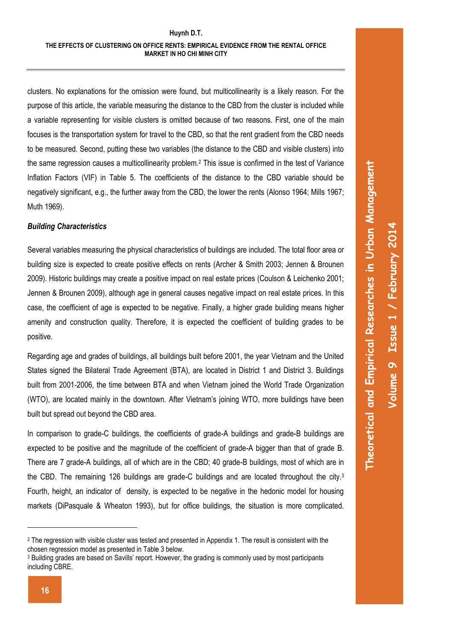clusters. No explanations for the omission were found, but multicollinearity is a likely reason. For the purpose of this article, the variable measuring the distance to the CBD from the cluster is included while a variable representing for visible clusters is omitted because of two reasons. First, one of the main focuses is the transportation system for travel to the CBD, so that the rent gradient from the CBD needs to be measured. Second, putting these two variables (the distance to the CBD and visible clusters) into the same regression causes a multicollinearity problem.<sup>2</sup> This issue is confirmed in the test of Variance Inflation Factors (VIF) in Table 5. The coefficients of the distance to the CBD variable should be negatively significant, e.g., the further away from the CBD, the lower the rents (Alonso 1964; Mills 1967; Muth 1969).

#### *Building Characteristics*

Several variables measuring the physical characteristics of buildings are included. The total floor area or building size is expected to create positive effects on rents (Archer & Smith 2003; Jennen & Brounen 2009). Historic buildings may create a positive impact on real estate prices (Coulson & Leichenko 2001; Jennen & Brounen 2009), although age in general causes negative impact on real estate prices. In this case, the coefficient of age is expected to be negative. Finally, a higher grade building means higher amenity and construction quality. Therefore, it is expected the coefficient of building grades to be positive.

Regarding age and grades of buildings, all buildings built before 2001, the year Vietnam and the United States signed the Bilateral Trade Agreement (BTA), are located in District 1 and District 3. Buildings built from 2001-2006, the time between BTA and when Vietnam joined the World Trade Organization (WTO), are located mainly in the downtown. After Vietnam's joining WTO, more buildings have been built but spread out beyond the CBD area.

In comparison to grade-C buildings, the coefficients of grade-A buildings and grade-B buildings are expected to be positive and the magnitude of the coefficient of grade-A bigger than that of grade B. There are 7 grade-A buildings, all of which are in the CBD; 40 grade-B buildings, most of which are in the CBD. The remaining 126 buildings are grade-C buildings and are located throughout the city.<sup>3</sup> Fourth, height, an indicator of density, is expected to be negative in the hedonic model for housing markets (DiPasquale & Wheaton 1993), but for office buildings, the situation is more complicated.

<u>.</u>

<sup>&</sup>lt;sup>2</sup> The regression with visible cluster was tested and presented in Appendix 1. The result is consistent with the chosen regression model as presented in Table 3 below.

<sup>3</sup> Building grades are based on Savills' report. However, the grading is commonly used by most participants including CBRE.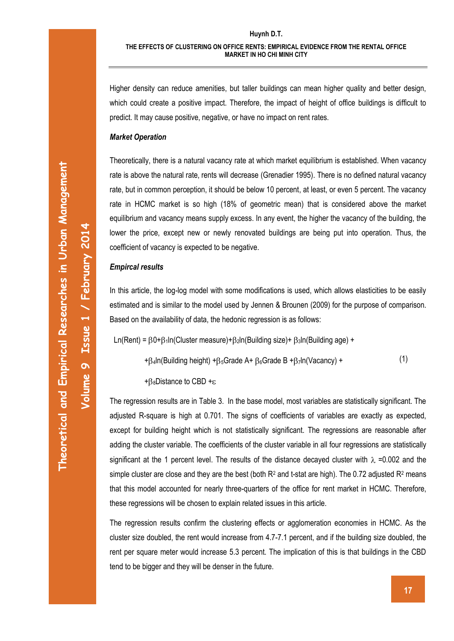Higher density can reduce amenities, but taller buildings can mean higher quality and better design, which could create a positive impact. Therefore, the impact of height of office buildings is difficult to predict. It may cause positive, negative, or have no impact on rent rates.

#### *Market Operation*

Theoretically, there is a natural vacancy rate at which market equilibrium is established. When vacancy rate is above the natural rate, rents will decrease (Grenadier 1995). There is no defined natural vacancy rate, but in common perception, it should be below 10 percent, at least, or even 5 percent. The vacancy rate in HCMC market is so high (18% of geometric mean) that is considered above the market equilibrium and vacancy means supply excess. In any event, the higher the vacancy of the building, the lower the price, except new or newly renovated buildings are being put into operation. Thus, the coefficient of vacancy is expected to be negative.

#### *Empircal results*

In this article, the log-log model with some modifications is used, which allows elasticities to be easily estimated and is similar to the model used by Jennen & Brounen (2009) for the purpose of comparison. Based on the availability of data, the hedonic regression is as follows:

$$
Ln(Rent) = \beta 0 + \beta 1 ln(Cluster measure) + \beta 2 ln(Building size) + \beta 3 ln(Building age) +
$$

+ $\beta$ <sub>4</sub>ln(Building height) + $\beta_5$ Grade A+  $\beta_6$ Grade B + $\beta_7$ ln(Vacancy) + (1)

+ $\beta_8$ Distance to CBD + $\epsilon$ 

The regression results are in Table 3. In the base model, most variables are statistically significant. The adjusted R-square is high at 0.701. The signs of coefficients of variables are exactly as expected, except for building height which is not statistically significant. The regressions are reasonable after adding the cluster variable. The coefficients of the cluster variable in all four regressions are statistically significant at the 1 percent level. The results of the distance decayed cluster with  $\lambda$  =0.002 and the simple cluster are close and they are the best (both  $R^2$  and t-stat are high). The 0.72 adjusted  $R^2$  means that this model accounted for nearly three-quarters of the office for rent market in HCMC. Therefore, these regressions will be chosen to explain related issues in this article.

The regression results confirm the clustering effects or agglomeration economies in HCMC. As the cluster size doubled, the rent would increase from 4.7-7.1 percent, and if the building size doubled, the rent per square meter would increase 5.3 percent. The implication of this is that buildings in the CBD tend to be bigger and they will be denser in the future.

**Volume** 

**9 Issue 1**

**/ February 201**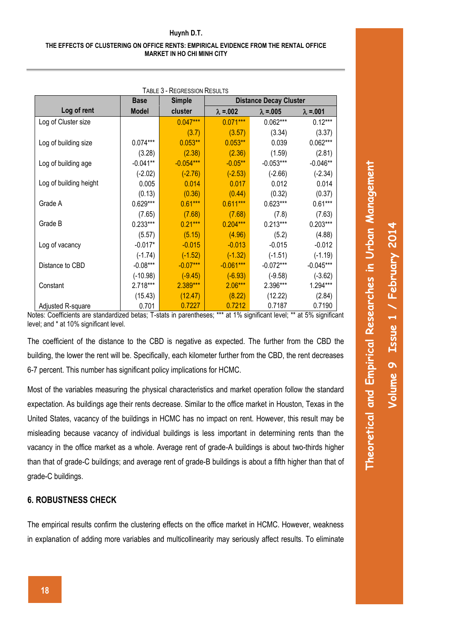#### **THE EFFECTS OF CLUSTERING ON OFFICE RENTS: EMPIRICAL EVIDENCE FROM THE RENTAL OFFICE MARKET IN HO CHI MINH CITY**

| <b>TABLE 3 - REGRESSION RESULTS</b> |              |               |                               |                   |             |  |  |
|-------------------------------------|--------------|---------------|-------------------------------|-------------------|-------------|--|--|
|                                     | <b>Base</b>  | <b>Simple</b> | <b>Distance Decay Cluster</b> |                   |             |  |  |
| Log of rent                         | <b>Model</b> | cluster       | $\lambda = 0.002$             | $\lambda = 0.005$ |             |  |  |
| Log of Cluster size                 |              | $0.047***$    | $0.071***$                    | $0.062***$        | $0.12***$   |  |  |
|                                     |              | (3.7)         | (3.57)                        | (3.34)            | (3.37)      |  |  |
| Log of building size                | $0.074***$   | $0.053**$     | $0.053**$                     | 0.039             | $0.062***$  |  |  |
|                                     | (3.28)       | (2.38)        | (2.36)                        | (1.59)            | (2.81)      |  |  |
| Log of building age                 | $-0.041**$   | $-0.054***$   | $-0.05***$                    | $-0.053***$       | $-0.046**$  |  |  |
|                                     | $(-2.02)$    | $(-2.76)$     | $(-2.53)$                     | $(-2.66)$         | $(-2.34)$   |  |  |
| Log of building height              | 0.005        | 0.014         | 0.017                         | 0.012             | 0.014       |  |  |
|                                     | (0.13)       | (0.36)        | (0.44)                        | (0.32)            | (0.37)      |  |  |
| Grade A                             | $0.629***$   | $0.61***$     | $0.611***$                    | $0.623***$        | $0.61***$   |  |  |
|                                     | (7.65)       | (7.68)        | (7.68)                        | (7.8)             | (7.63)      |  |  |
| Grade B                             | $0.233***$   | $0.21***$     | $0.204***$                    | $0.213***$        | $0.203***$  |  |  |
|                                     | (5.57)       | (5.15)        | (4.96)                        | (5.2)             | (4.88)      |  |  |
| Log of vacancy                      | $-0.017*$    | $-0.015$      | $-0.013$                      | $-0.015$          | $-0.012$    |  |  |
|                                     | $(-1.74)$    | $(-1.52)$     | $(-1.32)$                     | $(-1.51)$         | $(-1.19)$   |  |  |
| Distance to CBD                     | $-0.08***$   | $-0.07***$    | $-0.061***$                   | $-0.072***$       | $-0.045***$ |  |  |
|                                     | $(-10.98)$   | $(-9.45)$     | $(-6.93)$                     | $(-9.58)$         | $(-3.62)$   |  |  |
| Constant                            | 2.718***     | 2.389***      | $2.06***$                     | 2.396***          | 1.294***    |  |  |
|                                     | (15.43)      | (12.47)       | (8.22)                        | (12.22)           | (2.84)      |  |  |
| Adjusted R-square                   | 0.701        | 0.7227        | 0.7212                        | 0.7187            | 0.7190      |  |  |

Notes: Coefficients are standardized betas; T-stats in parentheses; \*\*\* at 1% significant level; \*\* at 5% significant level; and \* at 10% significant level.

The coefficient of the distance to the CBD is negative as expected. The further from the CBD the building, the lower the rent will be. Specifically, each kilometer further from the CBD, the rent decreases 6-7 percent. This number has significant policy implications for HCMC.

Most of the variables measuring the physical characteristics and market operation follow the standard expectation. As buildings age their rents decrease. Similar to the office market in Houston, Texas in the United States, vacancy of the buildings in HCMC has no impact on rent. However, this result may be misleading because vacancy of individual buildings is less important in determining rents than the vacancy in the office market as a whole. Average rent of grade-A buildings is about two-thirds higher than that of grade-C buildings; and average rent of grade-B buildings is about a fifth higher than that of grade-C buildings.

### **6. ROBUSTNESS CHECK**

The empirical results confirm the clustering effects on the office market in HCMC. However, weakness in explanation of adding more variables and multicollinearity may seriously affect results. To eliminate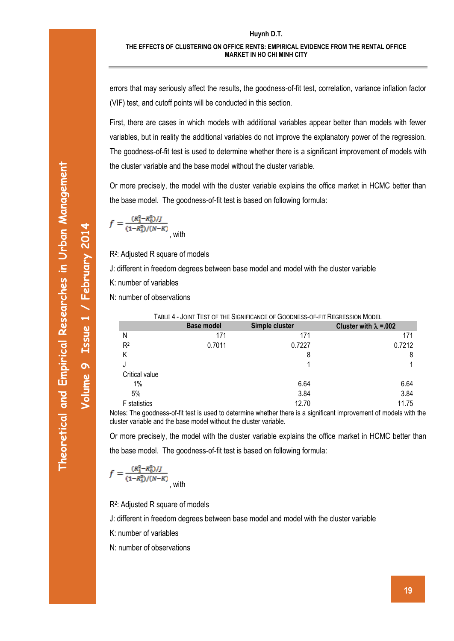#### **THE EFFECTS OF CLUSTERING ON OFFICE RENTS: EMPIRICAL EVIDENCE FROM THE RENTAL OFFICE MARKET IN HO CHI MINH CITY**

errors that may seriously affect the results, the goodness-of-fit test, correlation, variance inflation factor (VIF) test, and cutoff points will be conducted in this section.

First, there are cases in which models with additional variables appear better than models with fewer variables, but in reality the additional variables do not improve the explanatory power of the regression. The goodness-of-fit test is used to determine whether there is a significant improvement of models with the cluster variable and the base model without the cluster variable.

Or more precisely, the model with the cluster variable explains the office market in HCMC better than the base model. The goodness-of-fit test is based on following formula:

$$
f = \frac{(R_1^2 - R_0^2)/J}{(1 - R_1^2)/(N - K)}
$$
, with

R2 : Adjusted R square of models

J: different in freedom degrees between base model and model with the cluster variable

K: number of variables

N: number of observations

|                     | TABLE 4 - JOINT TEST OF THE SIGNIFICANCE OF GOODNESS-OF-FIT REGRESSION MODEL |                |                                |  |  |  |  |
|---------------------|------------------------------------------------------------------------------|----------------|--------------------------------|--|--|--|--|
|                     | <b>Base model</b>                                                            | Simple cluster | Cluster with $\lambda = 0.002$ |  |  |  |  |
| Ν                   | 171                                                                          | 171            | 171                            |  |  |  |  |
| R <sup>2</sup>      | 0.7011                                                                       | 0.7227         | 0.7212                         |  |  |  |  |
|                     |                                                                              | 8              | 8                              |  |  |  |  |
|                     |                                                                              |                |                                |  |  |  |  |
| Critical value      |                                                                              |                |                                |  |  |  |  |
| 1%                  |                                                                              | 6.64           | 6.64                           |  |  |  |  |
| 5%                  |                                                                              | 3.84           | 3.84                           |  |  |  |  |
| <b>F</b> statistics |                                                                              | 12.70          | 11.75                          |  |  |  |  |

Notes: The goodness-of-fit test is used to determine whether there is a significant improvement of models with the cluster variable and the base model without the cluster variable.

Or more precisely, the model with the cluster variable explains the office market in HCMC better than the base model. The goodness-of-fit test is based on following formula:

$$
f = \frac{(R_1^2 - R_0^2)/J}{(1 - R_1^2)/(N - K)}
$$
, with

R2 : Adjusted R square of models

J: different in freedom degrees between base model and model with the cluster variable

K: number of variables

N: number of observations

**Volume** 

**9 Issue 1**

**/ February 201**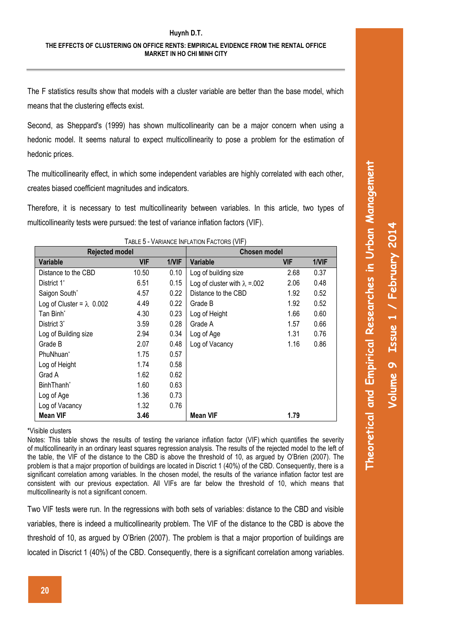The F statistics results show that models with a cluster variable are better than the base model, which means that the clustering effects exist.

Second, as Sheppard's (1999) has shown multicollinearity can be a major concern when using a hedonic model. It seems natural to expect multicollinearity to pose a problem for the estimation of hedonic prices.

The multicollinearity effect, in which some independent variables are highly correlated with each other, creates biased coefficient magnitudes and indicators.

Therefore, it is necessary to test multicollinearity between variables. In this article, two types of multicollinearity tests were pursued: the test of variance inflation factors (VIF).

| <b>Rejected model</b>            |            | <b>Chosen model</b> |                                       |            |       |
|----------------------------------|------------|---------------------|---------------------------------------|------------|-------|
| <b>Variable</b>                  | <b>VIF</b> | 1/VIF               | Variable                              | <b>VIF</b> | 1/VIF |
| Distance to the CBD              | 10.50      | 0.10                | Log of building size                  | 2.68       | 0.37  |
| District 1 <sup>*</sup>          | 6.51       | 0.15                | Log of cluster with $\lambda = 0.002$ | 2.06       | 0.48  |
| Saigon South*                    | 4.57       | 0.22                | Distance to the CBD                   | 1.92       | 0.52  |
| Log of Cluster = $\lambda$ 0.002 | 4.49       | 0.22                | Grade B                               | 1.92       | 0.52  |
| Tan Binh <sup>*</sup>            | 4.30       | 0.23                | Log of Height                         | 1.66       | 0.60  |
| District 3 <sup>*</sup>          | 3.59       | 0.28                | Grade A                               | 1.57       | 0.66  |
| Log of Building size             | 2.94       | 0.34                | Log of Age                            | 1.31       | 0.76  |
| Grade B                          | 2.07       | 0.48                | Log of Vacancy                        | 1.16       | 0.86  |
| PhuNhuan <sup>*</sup>            | 1.75       | 0.57                |                                       |            |       |
| Log of Height                    | 1.74       | 0.58                |                                       |            |       |
| Grad A                           | 1.62       | 0.62                |                                       |            |       |
| BinhThanh <sup>*</sup>           | 1.60       | 0.63                |                                       |            |       |
| Log of Age                       | 1.36       | 0.73                |                                       |            |       |
| Log of Vacancy                   | 1.32       | 0.76                |                                       |            |       |
| <b>Mean VIF</b>                  | 3.46       |                     | <b>Mean VIF</b>                       | 1.79       |       |

TABLE 5 - VARIANCE INFLATION FACTORS (VIF)

### \*Visible clusters

Notes: This table shows the results of testing the variance inflation factor (VIF) which quantifies the severity of multicollinearity in an ordinary least squares regression analysis. The results of the rejected model to the left of the table, the VIF of the distance to the CBD is above the threshold of 10, as argued by O'Brien (2007). The problem is that a major proportion of buildings are located in Discrict 1 (40%) of the CBD. Consequently, there is a significant correlation among variables. In the chosen model, the results of the variance inflation factor test are consistent with our previous expectation. All VIFs are far below the threshold of 10, which means that multicollinearity is not a significant concern.

Two VIF tests were run. In the regressions with both sets of variables: distance to the CBD and visible variables, there is indeed a multicollinearity problem. The VIF of the distance to the CBD is above the threshold of 10, as argued by O'Brien (2007). The problem is that a major proportion of buildings are located in Discrict 1 (40%) of the CBD. Consequently, there is a significant correlation among variables.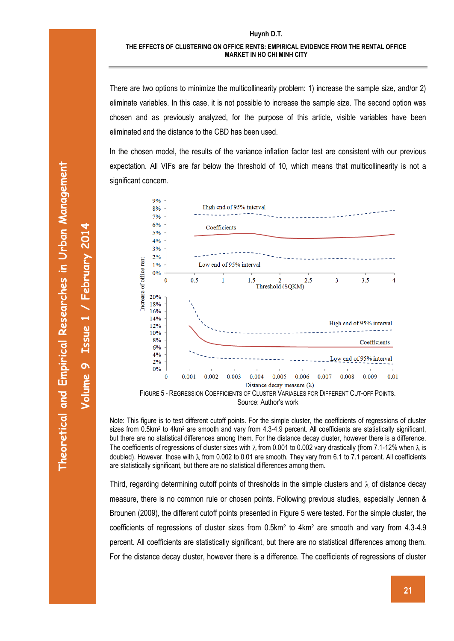There are two options to minimize the multicollinearity problem: 1) increase the sample size, and/or 2) eliminate variables. In this case, it is not possible to increase the sample size. The second option was chosen and as previously analyzed, for the purpose of this article, visible variables have been eliminated and the distance to the CBD has been used.

In the chosen model, the results of the variance inflation factor test are consistent with our previous expectation. All VIFs are far below the threshold of 10, which means that multicollinearity is not a significant concern.



Note: This figure is to test different cutoff points. For the simple cluster, the coefficients of regressions of cluster sizes from 0.5km<sup>2</sup> to 4km<sup>2</sup> are smooth and vary from 4.3-4.9 percent. All coefficients are statistically significant, but there are no statistical differences among them. For the distance decay cluster, however there is a difference. The coefficients of regressions of cluster sizes with  $\lambda$  from 0.001 to 0.002 vary drastically (from 7.1-12% when  $\lambda$  is doubled). However, those with  $\lambda$  from 0.002 to 0.01 are smooth. They vary from 6.1 to 7.1 percent. All coefficients are statistically significant, but there are no statistical differences among them.

Third, regarding determining cutoff points of thresholds in the simple clusters and  $\lambda$  of distance decay measure, there is no common rule or chosen points. Following previous studies, especially Jennen & Brounen (2009), the different cutoff points presented in Figure 5 were tested. For the simple cluster, the coefficients of regressions of cluster sizes from 0.5km<sup>2</sup> to 4km<sup>2</sup> are smooth and vary from 4.3-4.9 percent. All coefficients are statistically significant, but there are no statistical differences among them. For the distance decay cluster, however there is a difference. The coefficients of regressions of cluster

**Volume** 

**9**

**Issue 1**

**/ February 201**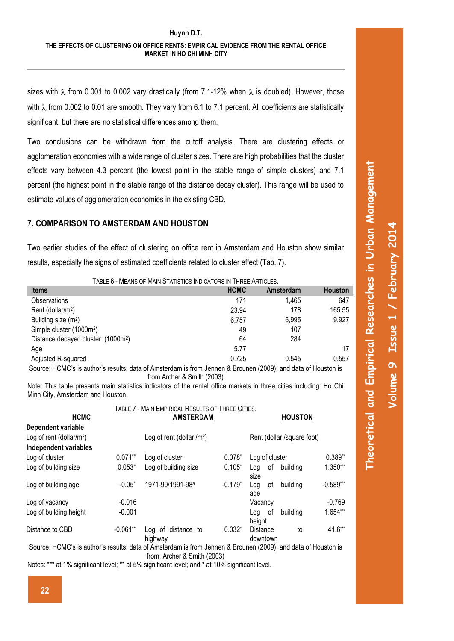sizes with  $\lambda$  from 0.001 to 0.002 vary drastically (from 7.1-12% when  $\lambda$  is doubled). However, those with  $\lambda$  from 0.002 to 0.01 are smooth. They vary from 6.1 to 7.1 percent. All coefficients are statistically significant, but there are no statistical differences among them.

Two conclusions can be withdrawn from the cutoff analysis. There are clustering effects or agglomeration economies with a wide range of cluster sizes. There are high probabilities that the cluster effects vary between 4.3 percent (the lowest point in the stable range of simple clusters) and 7.1 percent (the highest point in the stable range of the distance decay cluster). This range will be used to estimate values of agglomeration economies in the existing CBD.

### **7. COMPARISON TO AMSTERDAM AND HOUSTON**

Two earlier studies of the effect of clustering on office rent in Amsterdam and Houston show similar results, especially the signs of estimated coefficients related to cluster effect (Tab. 7).

| TABLE 6 - MEANS OF MAIN STATISTICS INDICATORS IN THREE ARTICLES.                                              |             |                  |                |  |  |  |  |  |
|---------------------------------------------------------------------------------------------------------------|-------------|------------------|----------------|--|--|--|--|--|
| <b>Items</b>                                                                                                  | <b>HCMC</b> | <b>Amsterdam</b> | <b>Houston</b> |  |  |  |  |  |
| Observations                                                                                                  | 171         | 1,465            | 647            |  |  |  |  |  |
| Rent (dollar/m <sup>2</sup> )                                                                                 | 23.94       | 178              | 165.55         |  |  |  |  |  |
| Building size (m <sup>2</sup> )                                                                               | 6,757       | 6,995            | 9,927          |  |  |  |  |  |
| Simple cluster (1000m <sup>2</sup> )                                                                          | 49          | 107              |                |  |  |  |  |  |
| Distance decayed cluster (1000m <sup>2</sup> )                                                                | 64          | 284              |                |  |  |  |  |  |
| Age                                                                                                           | 5.77        |                  | 17             |  |  |  |  |  |
| Adjusted R-squared                                                                                            | 0.725       | 0.545            | 0.557          |  |  |  |  |  |
| Source: HCMC's is author's results: data of Amsterdam is from Jennen & Brounen (2009); and data of Houston is |             |                  |                |  |  |  |  |  |

ennen & Brounen (2009); and data of Houston is from Archer & Smith (2003)

Note: This table presents main statistics indicators of the rental office markets in three cities including: Ho Chi Minh City, Amsterdam and Houston.

TABLE 7 - MAIN EMPIRICAL RESULTS OF THREE CITIES.

| TABLE / - MAIN EMPIRICAL RESULTS OF THREE CITIES.                                                                                       |                  |                               |              |                            |                             |             |  |
|-----------------------------------------------------------------------------------------------------------------------------------------|------------------|-------------------------------|--------------|----------------------------|-----------------------------|-------------|--|
| <b>HCMC</b>                                                                                                                             | <b>AMSTERDAM</b> |                               |              |                            | <b>HOUSTON</b>              |             |  |
| Dependent variable                                                                                                                      |                  |                               |              |                            |                             |             |  |
| Log of rent (dollar/m <sup>2</sup> )                                                                                                    |                  | Log of rent (dollar $/m2$ )   |              | Rent (dollar /square foot) |                             |             |  |
| <b>Independent variables</b>                                                                                                            |                  |                               |              |                            |                             |             |  |
| Log of cluster                                                                                                                          | $0.071***$       | Log of cluster                | $0.078^{*}$  | Log of cluster             |                             | 0.389"      |  |
| Log of building size                                                                                                                    | $0.053**$        | Log of building size          | $0.105*$     | οf<br>Log<br>size          | building                    | 1.350***    |  |
| Log of building age                                                                                                                     | $-0.05$ **       | 1971-90/1991-98 <sup>a</sup>  | $-0.179^{*}$ | οf<br>Log<br>age           | building                    | $-0.589***$ |  |
| Log of vacancy                                                                                                                          | $-0.016$         |                               |              | Vacancy                    |                             | $-0.769$    |  |
| Log of building height                                                                                                                  | $-0.001$         |                               |              | 0f<br>Loa<br>height        | building                    | 1.654***    |  |
| Distance to CBD                                                                                                                         | $-0.061***$      | Log of distance to<br>highway | $0.032^{*}$  | Distance<br>downtown       | to                          | 41.6***     |  |
| $\Omega$ . The interest of the interest of $\Omega$ is the interest of $\Omega$ in the interest of $\Omega$ is the interest of $\Omega$ |                  |                               |              |                            | $(0.000)$ $1.1.1$ $(1.1.1)$ |             |  |

Source: HCMC's is author's results; data of Amsterdam is from Jennen & Brounen (2009); and data of Houston is from Archer & Smith (2003)

Notes: \*\*\* at 1% significant level; \*\* at 5% significant level; and \* at 10% significant level.

**Theoretical and Empirical Researches in Urban Management**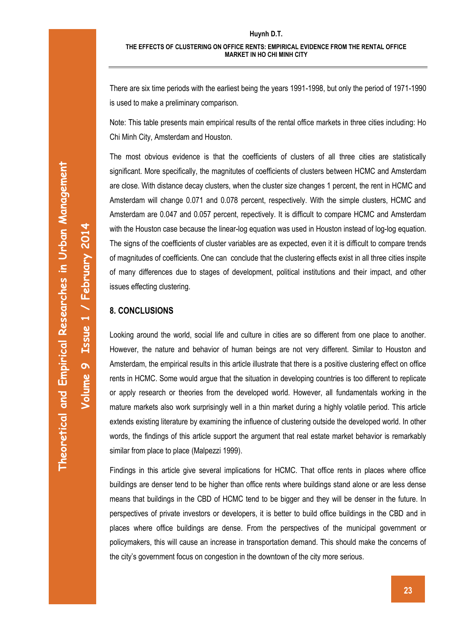**Volume** 

**9**

**Issue 1**

**/ February 201**

**4**

### **Huynh D.T. THE EFFECTS OF CLUSTERING ON OFFICE RENTS: EMPIRICAL EVIDENCE FROM THE RENTAL OFFICE MARKET IN HO CHI MINH CITY**

There are six time periods with the earliest being the years 1991-1998, but only the period of 1971-1990 is used to make a preliminary comparison.

Note: This table presents main empirical results of the rental office markets in three cities including: Ho Chi Minh City, Amsterdam and Houston.

The most obvious evidence is that the coefficients of clusters of all three cities are statistically significant. More specifically, the magnitutes of coefficients of clusters between HCMC and Amsterdam are close. With distance decay clusters, when the cluster size changes 1 percent, the rent in HCMC and Amsterdam will change 0.071 and 0.078 percent, respectively. With the simple clusters, HCMC and Amsterdam are 0.047 and 0.057 percent, repectively. It is difficult to compare HCMC and Amsterdam with the Houston case because the linear-log equation was used in Houston instead of log-log equation. The signs of the coefficients of cluster variables are as expected, even it it is difficult to compare trends of magnitudes of coefficients. One can conclude that the clustering effects exist in all three cities inspite of many differences due to stages of development, political institutions and their impact, and other issues effecting clustering.

### **8. CONCLUSIONS**

Looking around the world, social life and culture in cities are so different from one place to another. However, the nature and behavior of human beings are not very different. Similar to Houston and Amsterdam, the empirical results in this article illustrate that there is a positive clustering effect on office rents in HCMC. Some would argue that the situation in developing countries is too different to replicate or apply research or theories from the developed world. However, all fundamentals working in the mature markets also work surprisingly well in a thin market during a highly volatile period. This article extends existing literature by examining the influence of clustering outside the developed world. In other words, the findings of this article support the argument that real estate market behavior is remarkably similar from place to place (Malpezzi 1999).

Findings in this article give several implications for HCMC. That office rents in places where office buildings are denser tend to be higher than office rents where buildings stand alone or are less dense means that buildings in the CBD of HCMC tend to be bigger and they will be denser in the future. In perspectives of private investors or developers, it is better to build office buildings in the CBD and in places where office buildings are dense. From the perspectives of the municipal government or policymakers, this will cause an increase in transportation demand. This should make the concerns of the city's government focus on congestion in the downtown of the city more serious.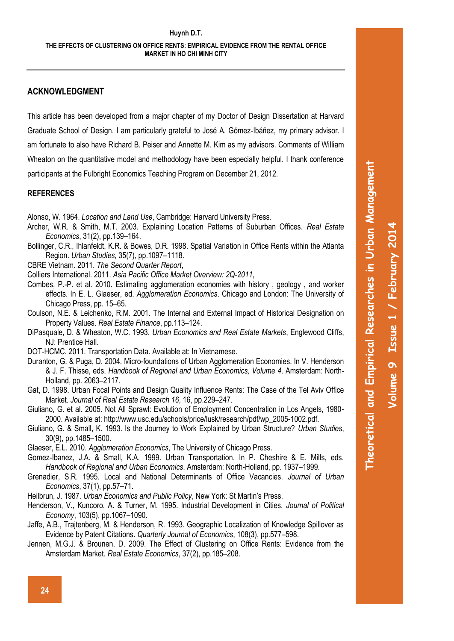## **ACKNOWLEDGMENT**

This article has been developed from a major chapter of my Doctor of Design Dissertation at Harvard Graduate School of Design. I am particularly grateful to José A. Gómez-Ibáñez, my primary advisor. I am fortunate to also have Richard B. Peiser and Annette M. Kim as my advisors. Comments of William Wheaton on the quantitative model and methodology have been especially helpful. I thank conference participants at the Fulbright Economics Teaching Program on December 21, 2012.

### **REFERENCES**

Alonso, W. 1964. *Location and Land Use*, Cambridge: Harvard University Press.

- Archer, W.R. & Smith, M.T. 2003. Explaining Location Patterns of Suburban Offices. *Real Estate Economics*, 31(2), pp.139–164.
- Bollinger, C.R., Ihlanfeldt, K.R. & Bowes, D.R. 1998. Spatial Variation in Office Rents within the Atlanta Region. *Urban Studies*, 35(7), pp.1097–1118.
- CBRE Vietnam. 2011. *The Second Quarter Report*,
- Colliers International. 2011. *Asia Pacific Office Market Overview: 2Q-2011*,
- Combes, P.-P. et al. 2010. Estimating agglomeration economies with history , geology , and worker effects. In E. L. Glaeser, ed. *Agglomeration Economics*. Chicago and London: The University of Chicago Press, pp. 15–65.
- Coulson, N.E. & Leichenko, R.M. 2001. The Internal and External Impact of Historical Designation on Property Values. *Real Estate Finance*, pp.113–124.
- DiPasquale, D. & Wheaton, W.C. 1993. *Urban Economics and Real Estate Markets*, Englewood Cliffs, NJ: Prentice Hall.
- DOT-HCMC. 2011. Transportation Data. Available at: In Vietnamese.
- Duranton, G. & Puga, D. 2004. Micro-foundations of Urban Agglomeration Economies. In V. Henderson & J. F. Thisse, eds. *Handbook of Regional and Urban Economics, Volume 4*. Amsterdam: North-Holland, pp. 2063–2117.
- Gat, D. 1998. Urban Focal Points and Design Quality Influence Rents: The Case of the Tel Aviv Office Market. *Journal of Real Estate Research 16*, 16, pp.229–247.
- Giuliano, G. et al. 2005. Not All Sprawl: Evolution of Employment Concentration in Los Angels, 1980- 2000. Available at: http://www.usc.edu/schools/price/lusk/research/pdf/wp\_2005-1002.pdf.
- Giuliano, G. & Small, K. 1993. Is the Journey to Work Explained by Urban Structure? *Urban Studies*, 30(9), pp.1485–1500.

Glaeser, E.L. 2010. *Agglomeration Economics*, The University of Chicago Press.

- Gomez-Ibanez, J.A. & Small, K.A. 1999. Urban Transportation. In P. Cheshire & E. Mills, eds. *Handbook of Regional and Urban Economics*. Amsterdam: North-Holland, pp. 1937–1999.
- Grenadier, S.R. 1995. Local and National Determinants of Office Vacancies. *Journal of Urban Economics*, 37(1), pp.57–71.
- Heilbrun, J. 1987. *Urban Economics and Public Policy*, New York: St Martin's Press.
- Henderson, V., Kuncoro, A. & Turner, M. 1995. Industrial Development in Cities. *Journal of Political Economy*, 103(5), pp.1067–1090.
- Jaffe, A.B., Trajtenberg, M. & Henderson, R. 1993. Geographic Localization of Knowledge Spillover as Evidence by Patent Citations. *Quarterly Journal of Economics*, 108(3), pp.577–598.
- Jennen, M.G.J. & Brounen, D. 2009. The Effect of Clustering on Office Rents: Evidence from the Amsterdam Market. *Real Estate Economics*, 37(2), pp.185–208.

**Theoretical and Empirical Researches in Urban Management**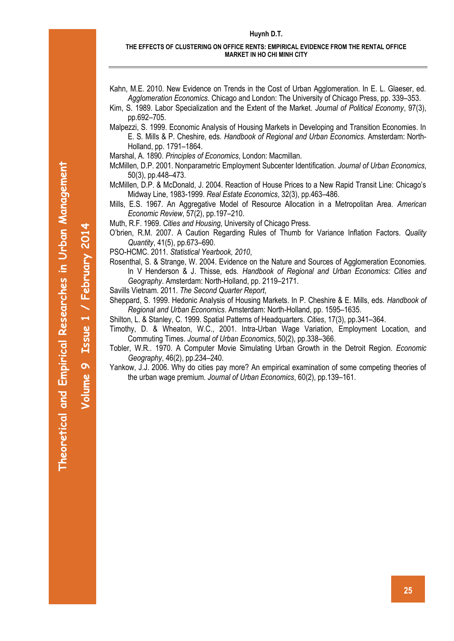Theoretical and Empirical Researches in Urban Management **Theoretical and Empirical Researches in Urban Management**

**Volume** 

**9**

**Issue 1**

**4**

**/ February 201**

#### **Huynh D.T.**

#### **THE EFFECTS OF CLUSTERING ON OFFICE RENTS: EMPIRICAL EVIDENCE FROM THE RENTAL OFFICE MARKET IN HO CHI MINH CITY**

- Kahn, M.E. 2010. New Evidence on Trends in the Cost of Urban Agglomeration. In E. L. Glaeser, ed. *Agglomeration Economics*. Chicago and London: The University of Chicago Press, pp. 339–353.
- Kim, S. 1989. Labor Specialization and the Extent of the Market. *Journal of Political Economy*, 97(3), pp.692–705.
- Malpezzi, S. 1999. Economic Analysis of Housing Markets in Developing and Transition Economies. In E. S. Mills & P. Cheshire, eds. *Handbook of Regional and Urban Economics*. Amsterdam: North-Holland, pp. 1791–1864.
- Marshal, A. 1890. *Principles of Economics*, London: Macmillan.
- McMillen, D.P. 2001. Nonparametric Employment Subcenter Identification. *Journal of Urban Economics*, 50(3), pp.448–473.
- McMillen, D.P. & McDonald, J. 2004. Reaction of House Prices to a New Rapid Transit Line: Chicago's Midway Line, 1983-1999. *Real Estate Economics*, 32(3), pp.463–486.
- Mills, E.S. 1967. An Aggregative Model of Resource Allocation in a Metropolitan Area. *American Economic Review*, 57(2), pp.197–210.

Muth, R.F. 1969. *Cities and Housing*, University of Chicago Press.

- O'brien, R.M. 2007. A Caution Regarding Rules of Thumb for Variance Inflation Factors. *Quality Quantity*, 41(5), pp.673–690.
- PSO-HCMC. 2011. *Statistical Yearbook, 2010*,
- Rosenthal, S. & Strange, W. 2004. Evidence on the Nature and Sources of Agglomeration Economies. In V Henderson & J. Thisse, eds. *Handbook of Regional and Urban Economics: Cities and Geography*. Amsterdam: North-Holland, pp. 2119–2171.
- Savills Vietnam. 2011. *The Second Quarter Report*,
- Sheppard, S. 1999. Hedonic Analysis of Housing Markets. In P. Cheshire & E. Mills, eds. *Handbook of Regional and Urban Economics*. Amsterdam: North-Holland, pp. 1595–1635.

Shilton, L. & Stanley, C. 1999. Spatial Patterns of Headquarters. *Cities*, 17(3), pp.341–364.

- Timothy, D. & Wheaton, W.C., 2001. Intra-Urban Wage Variation, Employment Location, and Commuting Times. *Journal of Urban Economics*, 50(2), pp.338–366.
- Tobler, W.R.. 1970. A Computer Movie Simulating Urban Growth in the Detroit Region. *Economic Geography*, 46(2), pp.234–240.
- Yankow, J.J. 2006. Why do cities pay more? An empirical examination of some competing theories of the urban wage premium. *Journal of Urban Economics*, 60(2), pp.139–161.